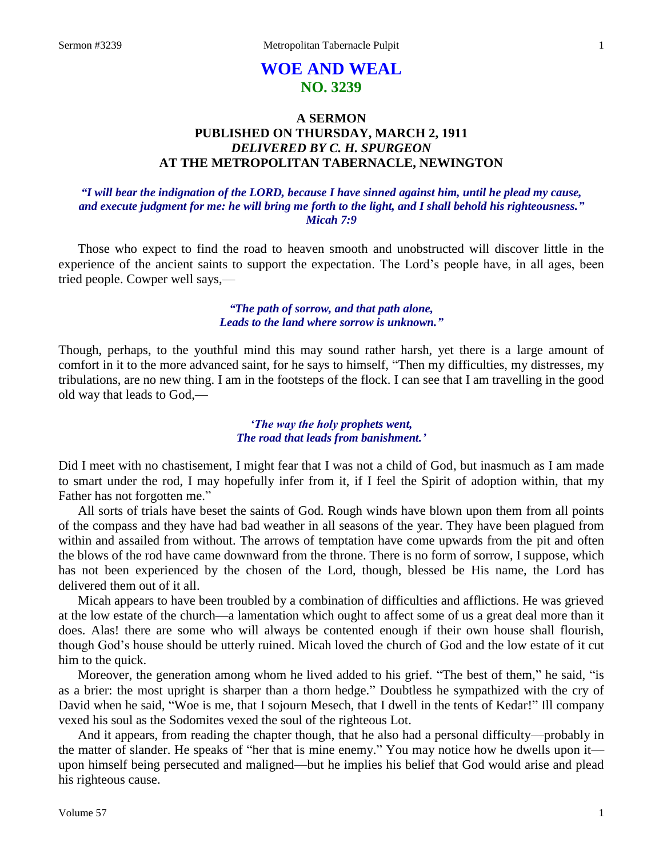# **WOE AND WEAL NO. 3239**

# **A SERMON PUBLISHED ON THURSDAY, MARCH 2, 1911** *DELIVERED BY C. H. SPURGEON* **AT THE METROPOLITAN TABERNACLE, NEWINGTON**

#### *"I will bear the indignation of the LORD, because I have sinned against him, until he plead my cause, and execute judgment for me: he will bring me forth to the light, and I shall behold his righteousness." Micah 7:9*

Those who expect to find the road to heaven smooth and unobstructed will discover little in the experience of the ancient saints to support the expectation. The Lord's people have, in all ages, been tried people. Cowper well says,—

#### *"The path of sorrow, and that path alone, Leads to the land where sorrow is unknown."*

Though, perhaps, to the youthful mind this may sound rather harsh, yet there is a large amount of comfort in it to the more advanced saint, for he says to himself, "Then my difficulties, my distresses, my tribulations, are no new thing. I am in the footsteps of the flock. I can see that I am travelling in the good old way that leads to God,—

### *'The way the holy prophets went, The road that leads from banishment.'*

Did I meet with no chastisement, I might fear that I was not a child of God, but inasmuch as I am made to smart under the rod, I may hopefully infer from it, if I feel the Spirit of adoption within, that my Father has not forgotten me."

All sorts of trials have beset the saints of God. Rough winds have blown upon them from all points of the compass and they have had bad weather in all seasons of the year. They have been plagued from within and assailed from without. The arrows of temptation have come upwards from the pit and often the blows of the rod have came downward from the throne. There is no form of sorrow, I suppose, which has not been experienced by the chosen of the Lord, though, blessed be His name, the Lord has delivered them out of it all.

Micah appears to have been troubled by a combination of difficulties and afflictions. He was grieved at the low estate of the church—a lamentation which ought to affect some of us a great deal more than it does. Alas! there are some who will always be contented enough if their own house shall flourish, though God's house should be utterly ruined. Micah loved the church of God and the low estate of it cut him to the quick.

Moreover, the generation among whom he lived added to his grief. "The best of them," he said, "is as a brier: the most upright is sharper than a thorn hedge." Doubtless he sympathized with the cry of David when he said, "Woe is me, that I sojourn Mesech, that I dwell in the tents of Kedar!" Ill company vexed his soul as the Sodomites vexed the soul of the righteous Lot.

And it appears, from reading the chapter though, that he also had a personal difficulty—probably in the matter of slander. He speaks of "her that is mine enemy." You may notice how he dwells upon it upon himself being persecuted and maligned—but he implies his belief that God would arise and plead his righteous cause.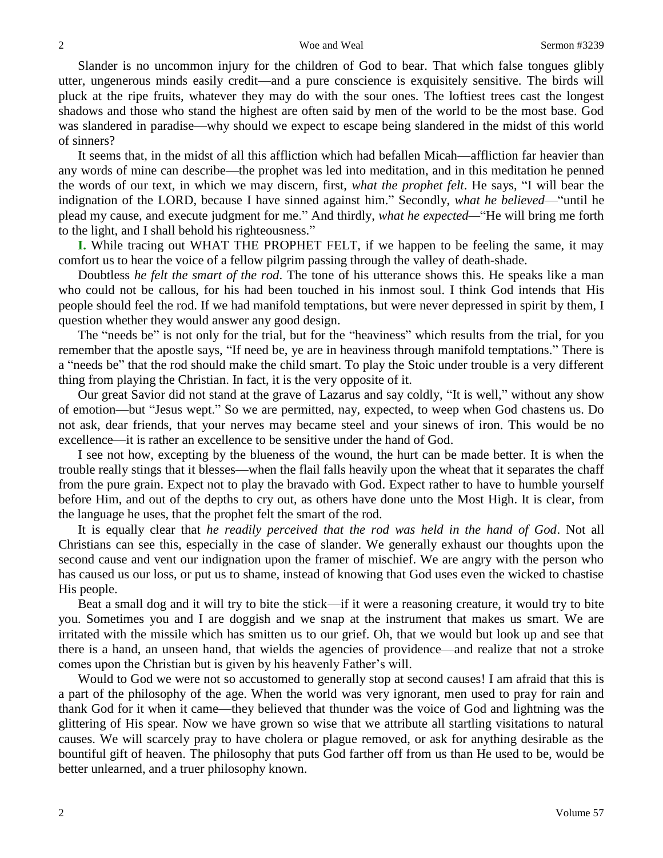Slander is no uncommon injury for the children of God to bear. That which false tongues glibly utter, ungenerous minds easily credit—and a pure conscience is exquisitely sensitive. The birds will pluck at the ripe fruits, whatever they may do with the sour ones. The loftiest trees cast the longest shadows and those who stand the highest are often said by men of the world to be the most base. God was slandered in paradise—why should we expect to escape being slandered in the midst of this world of sinners?

It seems that, in the midst of all this affliction which had befallen Micah—affliction far heavier than any words of mine can describe—the prophet was led into meditation, and in this meditation he penned the words of our text, in which we may discern, first, *what the prophet felt*. He says, "I will bear the indignation of the LORD, because I have sinned against him." Secondly, *what he believed*—"until he plead my cause, and execute judgment for me." And thirdly, *what he expected—*"He will bring me forth to the light, and I shall behold his righteousness."

**I.** While tracing out WHAT THE PROPHET FELT, if we happen to be feeling the same, it may comfort us to hear the voice of a fellow pilgrim passing through the valley of death-shade.

Doubtless *he felt the smart of the rod*. The tone of his utterance shows this. He speaks like a man who could not be callous, for his had been touched in his inmost soul. I think God intends that His people should feel the rod. If we had manifold temptations, but were never depressed in spirit by them, I question whether they would answer any good design.

The "needs be" is not only for the trial, but for the "heaviness" which results from the trial, for you remember that the apostle says, "If need be, ye are in heaviness through manifold temptations." There is a "needs be" that the rod should make the child smart. To play the Stoic under trouble is a very different thing from playing the Christian. In fact, it is the very opposite of it.

Our great Savior did not stand at the grave of Lazarus and say coldly, "It is well," without any show of emotion—but "Jesus wept." So we are permitted, nay, expected, to weep when God chastens us. Do not ask, dear friends, that your nerves may became steel and your sinews of iron. This would be no excellence—it is rather an excellence to be sensitive under the hand of God.

I see not how, excepting by the blueness of the wound, the hurt can be made better. It is when the trouble really stings that it blesses—when the flail falls heavily upon the wheat that it separates the chaff from the pure grain. Expect not to play the bravado with God. Expect rather to have to humble yourself before Him, and out of the depths to cry out, as others have done unto the Most High. It is clear, from the language he uses, that the prophet felt the smart of the rod.

It is equally clear that *he readily perceived that the rod was held in the hand of God*. Not all Christians can see this, especially in the case of slander. We generally exhaust our thoughts upon the second cause and vent our indignation upon the framer of mischief. We are angry with the person who has caused us our loss, or put us to shame, instead of knowing that God uses even the wicked to chastise His people.

Beat a small dog and it will try to bite the stick—if it were a reasoning creature, it would try to bite you. Sometimes you and I are doggish and we snap at the instrument that makes us smart. We are irritated with the missile which has smitten us to our grief. Oh, that we would but look up and see that there is a hand, an unseen hand, that wields the agencies of providence—and realize that not a stroke comes upon the Christian but is given by his heavenly Father's will.

Would to God we were not so accustomed to generally stop at second causes! I am afraid that this is a part of the philosophy of the age. When the world was very ignorant, men used to pray for rain and thank God for it when it came—they believed that thunder was the voice of God and lightning was the glittering of His spear. Now we have grown so wise that we attribute all startling visitations to natural causes. We will scarcely pray to have cholera or plague removed, or ask for anything desirable as the bountiful gift of heaven. The philosophy that puts God farther off from us than He used to be, would be better unlearned, and a truer philosophy known.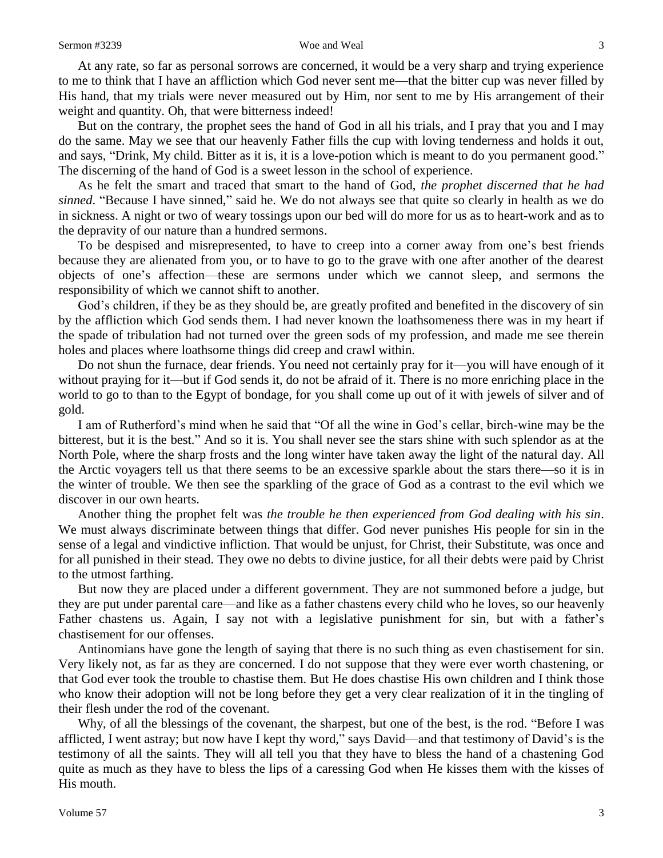At any rate, so far as personal sorrows are concerned, it would be a very sharp and trying experience to me to think that I have an affliction which God never sent me—that the bitter cup was never filled by His hand, that my trials were never measured out by Him, nor sent to me by His arrangement of their weight and quantity. Oh, that were bitterness indeed!

But on the contrary, the prophet sees the hand of God in all his trials, and I pray that you and I may do the same. May we see that our heavenly Father fills the cup with loving tenderness and holds it out, and says, "Drink, My child. Bitter as it is, it is a love-potion which is meant to do you permanent good." The discerning of the hand of God is a sweet lesson in the school of experience.

As he felt the smart and traced that smart to the hand of God, *the prophet discerned that he had sinned*. "Because I have sinned," said he. We do not always see that quite so clearly in health as we do in sickness. A night or two of weary tossings upon our bed will do more for us as to heart-work and as to the depravity of our nature than a hundred sermons.

To be despised and misrepresented, to have to creep into a corner away from one's best friends because they are alienated from you, or to have to go to the grave with one after another of the dearest objects of one's affection—these are sermons under which we cannot sleep, and sermons the responsibility of which we cannot shift to another.

God's children, if they be as they should be, are greatly profited and benefited in the discovery of sin by the affliction which God sends them. I had never known the loathsomeness there was in my heart if the spade of tribulation had not turned over the green sods of my profession, and made me see therein holes and places where loathsome things did creep and crawl within.

Do not shun the furnace, dear friends. You need not certainly pray for it—you will have enough of it without praying for it—but if God sends it, do not be afraid of it. There is no more enriching place in the world to go to than to the Egypt of bondage, for you shall come up out of it with jewels of silver and of gold.

I am of Rutherford's mind when he said that "Of all the wine in God's cellar, birch-wine may be the bitterest, but it is the best." And so it is. You shall never see the stars shine with such splendor as at the North Pole, where the sharp frosts and the long winter have taken away the light of the natural day. All the Arctic voyagers tell us that there seems to be an excessive sparkle about the stars there—so it is in the winter of trouble. We then see the sparkling of the grace of God as a contrast to the evil which we discover in our own hearts.

Another thing the prophet felt was *the trouble he then experienced from God dealing with his sin*. We must always discriminate between things that differ. God never punishes His people for sin in the sense of a legal and vindictive infliction. That would be unjust, for Christ, their Substitute, was once and for all punished in their stead. They owe no debts to divine justice, for all their debts were paid by Christ to the utmost farthing.

But now they are placed under a different government. They are not summoned before a judge, but they are put under parental care—and like as a father chastens every child who he loves, so our heavenly Father chastens us. Again, I say not with a legislative punishment for sin, but with a father's chastisement for our offenses.

Antinomians have gone the length of saying that there is no such thing as even chastisement for sin. Very likely not, as far as they are concerned. I do not suppose that they were ever worth chastening, or that God ever took the trouble to chastise them. But He does chastise His own children and I think those who know their adoption will not be long before they get a very clear realization of it in the tingling of their flesh under the rod of the covenant.

Why, of all the blessings of the covenant, the sharpest, but one of the best, is the rod. "Before I was afflicted, I went astray; but now have I kept thy word," says David—and that testimony of David's is the testimony of all the saints. They will all tell you that they have to bless the hand of a chastening God quite as much as they have to bless the lips of a caressing God when He kisses them with the kisses of His mouth.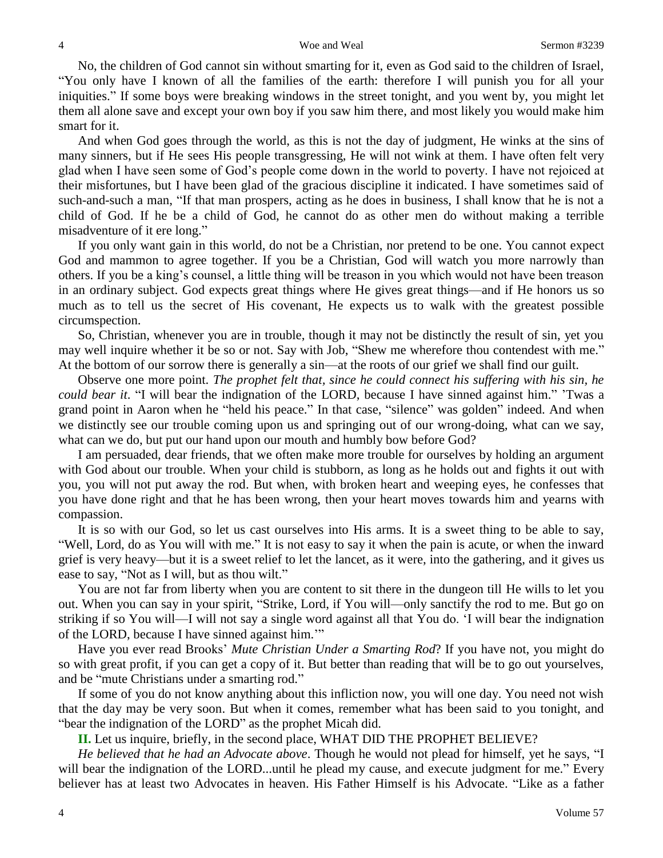#### 4 Sermon #3239

No, the children of God cannot sin without smarting for it, even as God said to the children of Israel, "You only have I known of all the families of the earth: therefore I will punish you for all your iniquities." If some boys were breaking windows in the street tonight, and you went by, you might let them all alone save and except your own boy if you saw him there, and most likely you would make him smart for it.

And when God goes through the world, as this is not the day of judgment, He winks at the sins of many sinners, but if He sees His people transgressing, He will not wink at them. I have often felt very glad when I have seen some of God's people come down in the world to poverty. I have not rejoiced at their misfortunes, but I have been glad of the gracious discipline it indicated. I have sometimes said of such-and-such a man, "If that man prospers, acting as he does in business, I shall know that he is not a child of God. If he be a child of God, he cannot do as other men do without making a terrible misadventure of it ere long."

If you only want gain in this world, do not be a Christian, nor pretend to be one. You cannot expect God and mammon to agree together. If you be a Christian, God will watch you more narrowly than others. If you be a king's counsel, a little thing will be treason in you which would not have been treason in an ordinary subject. God expects great things where He gives great things—and if He honors us so much as to tell us the secret of His covenant, He expects us to walk with the greatest possible circumspection.

So, Christian, whenever you are in trouble, though it may not be distinctly the result of sin, yet you may well inquire whether it be so or not. Say with Job, "Shew me wherefore thou contendest with me." At the bottom of our sorrow there is generally a sin—at the roots of our grief we shall find our guilt.

Observe one more point. *The prophet felt that, since he could connect his suffering with his sin, he could bear it*. "I will bear the indignation of the LORD, because I have sinned against him." 'Twas a grand point in Aaron when he "held his peace." In that case, "silence" was golden" indeed. And when we distinctly see our trouble coming upon us and springing out of our wrong-doing, what can we say, what can we do, but put our hand upon our mouth and humbly bow before God?

I am persuaded, dear friends, that we often make more trouble for ourselves by holding an argument with God about our trouble. When your child is stubborn, as long as he holds out and fights it out with you, you will not put away the rod. But when, with broken heart and weeping eyes, he confesses that you have done right and that he has been wrong, then your heart moves towards him and yearns with compassion.

It is so with our God, so let us cast ourselves into His arms. It is a sweet thing to be able to say, "Well, Lord, do as You will with me." It is not easy to say it when the pain is acute, or when the inward grief is very heavy—but it is a sweet relief to let the lancet, as it were, into the gathering, and it gives us ease to say, "Not as I will, but as thou wilt."

You are not far from liberty when you are content to sit there in the dungeon till He wills to let you out. When you can say in your spirit, "Strike, Lord, if You will—only sanctify the rod to me. But go on striking if so You will—I will not say a single word against all that You do. 'I will bear the indignation of the LORD, because I have sinned against him.'"

Have you ever read Brooks' *Mute Christian Under a Smarting Rod*? If you have not, you might do so with great profit, if you can get a copy of it. But better than reading that will be to go out yourselves, and be "mute Christians under a smarting rod."

If some of you do not know anything about this infliction now, you will one day. You need not wish that the day may be very soon. But when it comes, remember what has been said to you tonight, and "bear the indignation of the LORD" as the prophet Micah did.

**II.** Let us inquire, briefly, in the second place, WHAT DID THE PROPHET BELIEVE?

*He believed that he had an Advocate above*. Though he would not plead for himself, yet he says, "I will bear the indignation of the LORD...until he plead my cause, and execute judgment for me." Every believer has at least two Advocates in heaven. His Father Himself is his Advocate. "Like as a father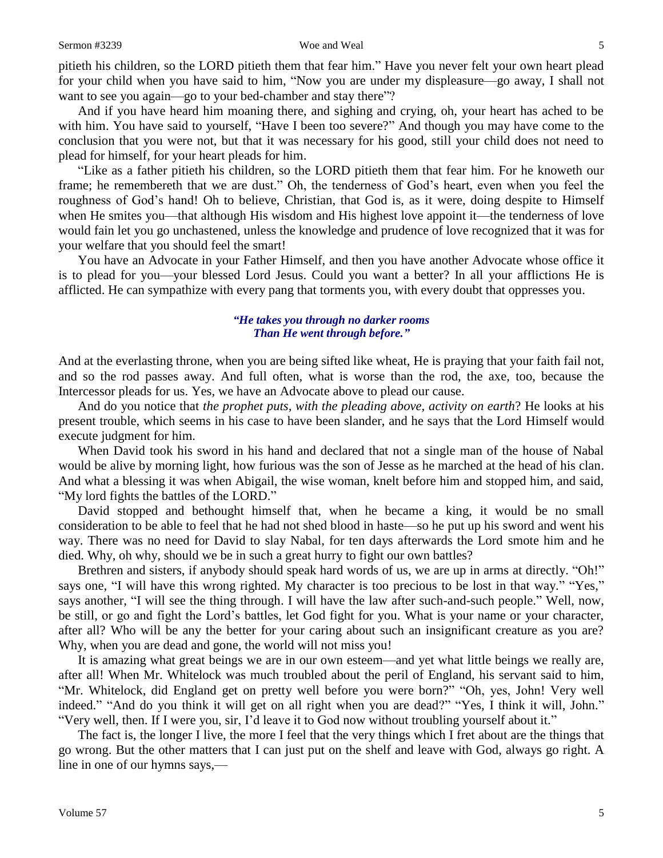pitieth his children, so the LORD pitieth them that fear him." Have you never felt your own heart plead for your child when you have said to him, "Now you are under my displeasure—go away, I shall not want to see you again—go to your bed-chamber and stay there"?

And if you have heard him moaning there, and sighing and crying, oh, your heart has ached to be with him. You have said to yourself, "Have I been too severe?" And though you may have come to the conclusion that you were not, but that it was necessary for his good, still your child does not need to plead for himself, for your heart pleads for him.

"Like as a father pitieth his children, so the LORD pitieth them that fear him. For he knoweth our frame; he remembereth that we are dust." Oh, the tenderness of God's heart, even when you feel the roughness of God's hand! Oh to believe, Christian, that God is, as it were, doing despite to Himself when He smites you—that although His wisdom and His highest love appoint it—the tenderness of love would fain let you go unchastened, unless the knowledge and prudence of love recognized that it was for your welfare that you should feel the smart!

You have an Advocate in your Father Himself, and then you have another Advocate whose office it is to plead for you—your blessed Lord Jesus. Could you want a better? In all your afflictions He is afflicted. He can sympathize with every pang that torments you, with every doubt that oppresses you.

#### *"He takes you through no darker rooms Than He went through before."*

And at the everlasting throne, when you are being sifted like wheat, He is praying that your faith fail not, and so the rod passes away. And full often, what is worse than the rod, the axe, too, because the Intercessor pleads for us. Yes, we have an Advocate above to plead our cause.

And do you notice that *the prophet puts, with the pleading above, activity on earth*? He looks at his present trouble, which seems in his case to have been slander, and he says that the Lord Himself would execute judgment for him.

When David took his sword in his hand and declared that not a single man of the house of Nabal would be alive by morning light, how furious was the son of Jesse as he marched at the head of his clan. And what a blessing it was when Abigail, the wise woman, knelt before him and stopped him, and said, "My lord fights the battles of the LORD."

David stopped and bethought himself that, when he became a king, it would be no small consideration to be able to feel that he had not shed blood in haste—so he put up his sword and went his way. There was no need for David to slay Nabal, for ten days afterwards the Lord smote him and he died. Why, oh why, should we be in such a great hurry to fight our own battles?

Brethren and sisters, if anybody should speak hard words of us, we are up in arms at directly. "Oh!" says one, "I will have this wrong righted. My character is too precious to be lost in that way." "Yes," says another, "I will see the thing through. I will have the law after such-and-such people." Well, now, be still, or go and fight the Lord's battles, let God fight for you. What is your name or your character, after all? Who will be any the better for your caring about such an insignificant creature as you are? Why, when you are dead and gone, the world will not miss you!

It is amazing what great beings we are in our own esteem—and yet what little beings we really are, after all! When Mr. Whitelock was much troubled about the peril of England, his servant said to him, "Mr. Whitelock, did England get on pretty well before you were born?" "Oh, yes, John! Very well indeed." "And do you think it will get on all right when you are dead?" "Yes, I think it will, John." "Very well, then. If I were you, sir, I'd leave it to God now without troubling yourself about it."

The fact is, the longer I live, the more I feel that the very things which I fret about are the things that go wrong. But the other matters that I can just put on the shelf and leave with God, always go right. A line in one of our hymns says,—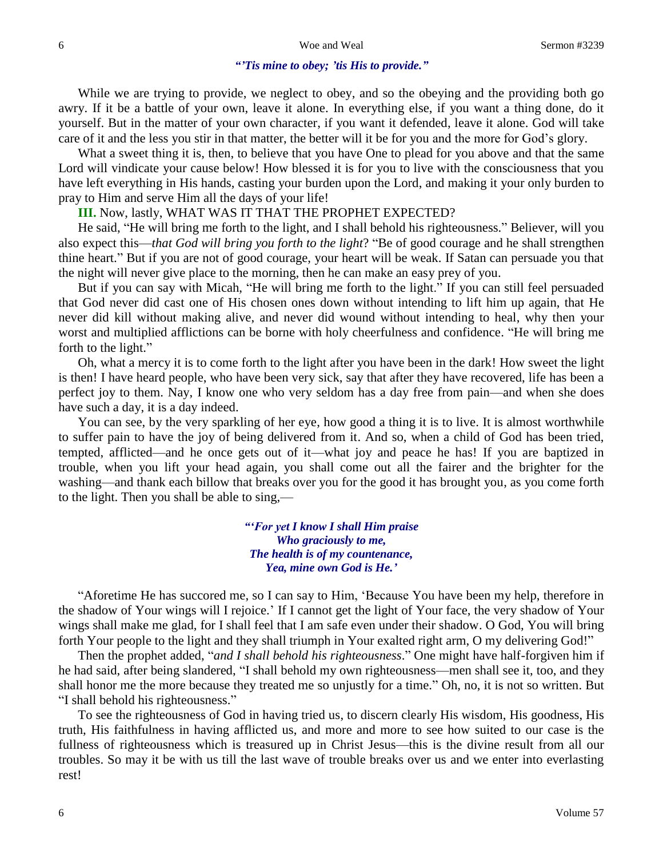## *"'Tis mine to obey; 'tis His to provide."*

While we are trying to provide, we neglect to obey, and so the obeying and the providing both go awry. If it be a battle of your own, leave it alone. In everything else, if you want a thing done, do it yourself. But in the matter of your own character, if you want it defended, leave it alone. God will take care of it and the less you stir in that matter, the better will it be for you and the more for God's glory.

What a sweet thing it is, then, to believe that you have One to plead for you above and that the same Lord will vindicate your cause below! How blessed it is for you to live with the consciousness that you have left everything in His hands, casting your burden upon the Lord, and making it your only burden to pray to Him and serve Him all the days of your life!

#### **III.** Now, lastly, WHAT WAS IT THAT THE PROPHET EXPECTED?

He said, "He will bring me forth to the light, and I shall behold his righteousness." Believer, will you also expect this—*that God will bring you forth to the light*? "Be of good courage and he shall strengthen thine heart." But if you are not of good courage, your heart will be weak. If Satan can persuade you that the night will never give place to the morning, then he can make an easy prey of you.

But if you can say with Micah, "He will bring me forth to the light." If you can still feel persuaded that God never did cast one of His chosen ones down without intending to lift him up again, that He never did kill without making alive, and never did wound without intending to heal, why then your worst and multiplied afflictions can be borne with holy cheerfulness and confidence. "He will bring me forth to the light."

Oh, what a mercy it is to come forth to the light after you have been in the dark! How sweet the light is then! I have heard people, who have been very sick, say that after they have recovered, life has been a perfect joy to them. Nay, I know one who very seldom has a day free from pain—and when she does have such a day, it is a day indeed.

You can see, by the very sparkling of her eye, how good a thing it is to live. It is almost worthwhile to suffer pain to have the joy of being delivered from it. And so, when a child of God has been tried, tempted, afflicted—and he once gets out of it—what joy and peace he has! If you are baptized in trouble, when you lift your head again, you shall come out all the fairer and the brighter for the washing—and thank each billow that breaks over you for the good it has brought you, as you come forth to the light. Then you shall be able to sing,—

> *"'For yet I know I shall Him praise Who graciously to me, The health is of my countenance, Yea, mine own God is He.'*

"Aforetime He has succored me, so I can say to Him, 'Because You have been my help, therefore in the shadow of Your wings will I rejoice.' If I cannot get the light of Your face, the very shadow of Your wings shall make me glad, for I shall feel that I am safe even under their shadow. O God, You will bring forth Your people to the light and they shall triumph in Your exalted right arm, O my delivering God!"

Then the prophet added, "*and I shall behold his righteousness*." One might have half-forgiven him if he had said, after being slandered, "I shall behold my own righteousness—men shall see it, too, and they shall honor me the more because they treated me so unjustly for a time." Oh, no, it is not so written. But "I shall behold his righteousness."

To see the righteousness of God in having tried us, to discern clearly His wisdom, His goodness, His truth, His faithfulness in having afflicted us, and more and more to see how suited to our case is the fullness of righteousness which is treasured up in Christ Jesus—this is the divine result from all our troubles. So may it be with us till the last wave of trouble breaks over us and we enter into everlasting rest!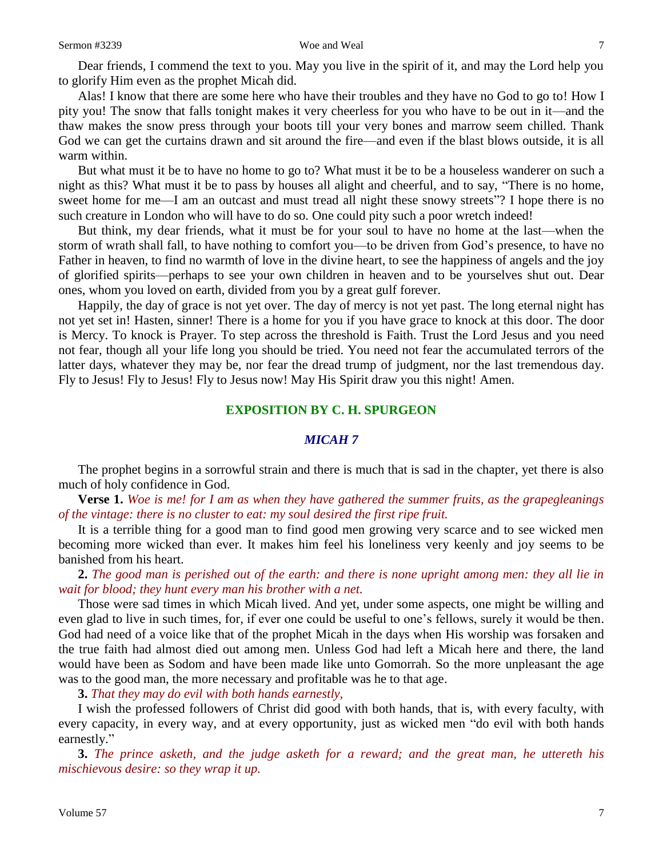Dear friends, I commend the text to you. May you live in the spirit of it, and may the Lord help you to glorify Him even as the prophet Micah did.

Alas! I know that there are some here who have their troubles and they have no God to go to! How I pity you! The snow that falls tonight makes it very cheerless for you who have to be out in it—and the thaw makes the snow press through your boots till your very bones and marrow seem chilled. Thank God we can get the curtains drawn and sit around the fire—and even if the blast blows outside, it is all warm within.

But what must it be to have no home to go to? What must it be to be a houseless wanderer on such a night as this? What must it be to pass by houses all alight and cheerful, and to say, "There is no home, sweet home for me—I am an outcast and must tread all night these snowy streets"? I hope there is no such creature in London who will have to do so. One could pity such a poor wretch indeed!

But think, my dear friends, what it must be for your soul to have no home at the last—when the storm of wrath shall fall, to have nothing to comfort you—to be driven from God's presence, to have no Father in heaven, to find no warmth of love in the divine heart, to see the happiness of angels and the joy of glorified spirits—perhaps to see your own children in heaven and to be yourselves shut out. Dear ones, whom you loved on earth, divided from you by a great gulf forever.

Happily, the day of grace is not yet over. The day of mercy is not yet past. The long eternal night has not yet set in! Hasten, sinner! There is a home for you if you have grace to knock at this door. The door is Mercy. To knock is Prayer. To step across the threshold is Faith. Trust the Lord Jesus and you need not fear, though all your life long you should be tried. You need not fear the accumulated terrors of the latter days, whatever they may be, nor fear the dread trump of judgment, nor the last tremendous day. Fly to Jesus! Fly to Jesus! Fly to Jesus now! May His Spirit draw you this night! Amen.

#### **EXPOSITION BY C. H. SPURGEON**

### *MICAH 7*

The prophet begins in a sorrowful strain and there is much that is sad in the chapter, yet there is also much of holy confidence in God.

**Verse 1.** *Woe is me! for I am as when they have gathered the summer fruits, as the grapegleanings of the vintage: there is no cluster to eat: my soul desired the first ripe fruit.* 

It is a terrible thing for a good man to find good men growing very scarce and to see wicked men becoming more wicked than ever. It makes him feel his loneliness very keenly and joy seems to be banished from his heart.

**2.** *The good man is perished out of the earth: and there is none upright among men: they all lie in wait for blood; they hunt every man his brother with a net.* 

Those were sad times in which Micah lived. And yet, under some aspects, one might be willing and even glad to live in such times, for, if ever one could be useful to one's fellows, surely it would be then. God had need of a voice like that of the prophet Micah in the days when His worship was forsaken and the true faith had almost died out among men. Unless God had left a Micah here and there, the land would have been as Sodom and have been made like unto Gomorrah. So the more unpleasant the age was to the good man, the more necessary and profitable was he to that age.

**3.** *That they may do evil with both hands earnestly,*

I wish the professed followers of Christ did good with both hands, that is, with every faculty, with every capacity, in every way, and at every opportunity, just as wicked men "do evil with both hands earnestly."

**3.** *The prince asketh, and the judge asketh for a reward; and the great man, he uttereth his mischievous desire: so they wrap it up.*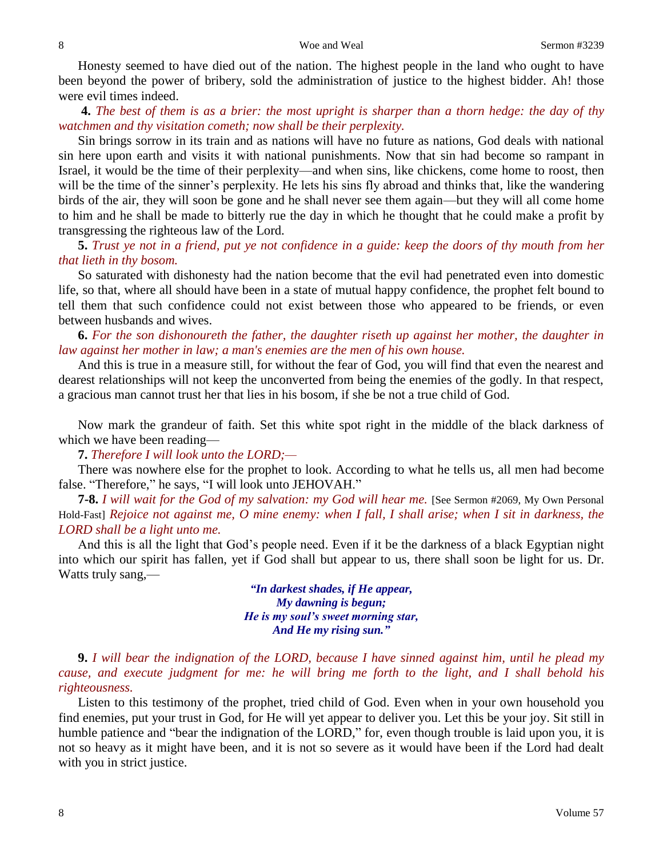Honesty seemed to have died out of the nation. The highest people in the land who ought to have been beyond the power of bribery, sold the administration of justice to the highest bidder. Ah! those were evil times indeed.

**4.** *The best of them is as a brier: the most upright is sharper than a thorn hedge: the day of thy watchmen and thy visitation cometh; now shall be their perplexity.* 

Sin brings sorrow in its train and as nations will have no future as nations, God deals with national sin here upon earth and visits it with national punishments. Now that sin had become so rampant in Israel, it would be the time of their perplexity—and when sins, like chickens, come home to roost, then will be the time of the sinner's perplexity. He lets his sins fly abroad and thinks that, like the wandering birds of the air, they will soon be gone and he shall never see them again—but they will all come home to him and he shall be made to bitterly rue the day in which he thought that he could make a profit by transgressing the righteous law of the Lord.

**5.** *Trust ye not in a friend, put ye not confidence in a guide: keep the doors of thy mouth from her that lieth in thy bosom.* 

So saturated with dishonesty had the nation become that the evil had penetrated even into domestic life, so that, where all should have been in a state of mutual happy confidence, the prophet felt bound to tell them that such confidence could not exist between those who appeared to be friends, or even between husbands and wives.

**6.** *For the son dishonoureth the father, the daughter riseth up against her mother, the daughter in law against her mother in law; a man's enemies are the men of his own house.*

And this is true in a measure still, for without the fear of God, you will find that even the nearest and dearest relationships will not keep the unconverted from being the enemies of the godly. In that respect, a gracious man cannot trust her that lies in his bosom, if she be not a true child of God.

Now mark the grandeur of faith. Set this white spot right in the middle of the black darkness of which we have been reading—

**7.** *Therefore I will look unto the LORD;—*

There was nowhere else for the prophet to look. According to what he tells us, all men had become false. "Therefore," he says, "I will look unto JEHOVAH."

**7-8.** *I will wait for the God of my salvation: my God will hear me.* [See Sermon #2069, My Own Personal Hold-Fast] *Rejoice not against me, O mine enemy: when I fall, I shall arise; when I sit in darkness, the LORD shall be a light unto me.*

And this is all the light that God's people need. Even if it be the darkness of a black Egyptian night into which our spirit has fallen, yet if God shall but appear to us, there shall soon be light for us. Dr. Watts truly sang,—

> *"In darkest shades, if He appear, My dawning is begun; He is my soul's sweet morning star, And He my rising sun."*

**9.** *I will bear the indignation of the LORD, because I have sinned against him, until he plead my cause, and execute judgment for me: he will bring me forth to the light, and I shall behold his righteousness.* 

Listen to this testimony of the prophet, tried child of God. Even when in your own household you find enemies, put your trust in God, for He will yet appear to deliver you. Let this be your joy. Sit still in humble patience and "bear the indignation of the LORD," for, even though trouble is laid upon you, it is not so heavy as it might have been, and it is not so severe as it would have been if the Lord had dealt with you in strict justice.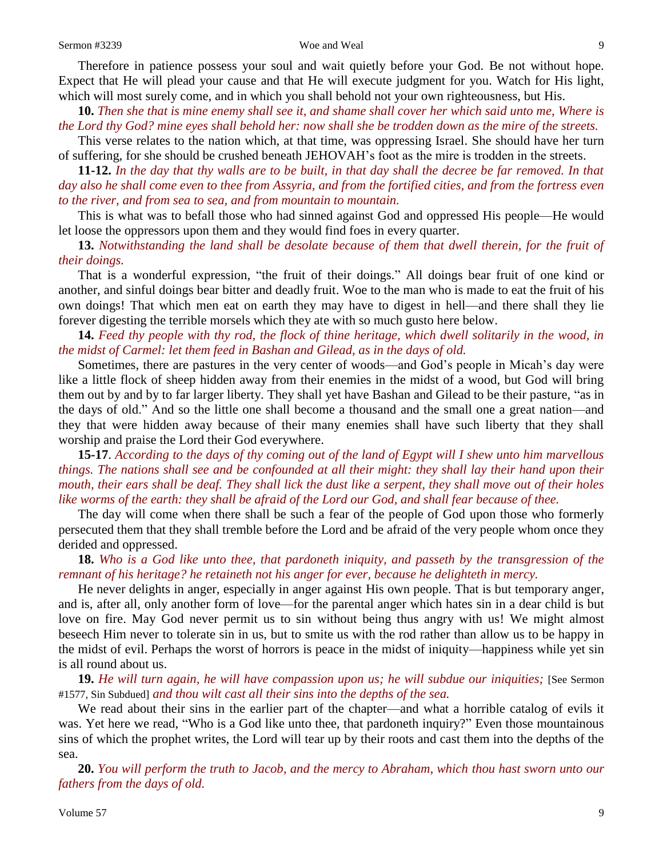Therefore in patience possess your soul and wait quietly before your God. Be not without hope. Expect that He will plead your cause and that He will execute judgment for you. Watch for His light, which will most surely come, and in which you shall behold not your own righteousness, but His.

**10.** *Then she that is mine enemy shall see it, and shame shall cover her which said unto me, Where is the Lord thy God? mine eyes shall behold her: now shall she be trodden down as the mire of the streets.*

This verse relates to the nation which, at that time, was oppressing Israel. She should have her turn of suffering, for she should be crushed beneath JEHOVAH's foot as the mire is trodden in the streets.

**11-12.** *In the day that thy walls are to be built, in that day shall the decree be far removed. In that day also he shall come even to thee from Assyria, and from the fortified cities, and from the fortress even to the river, and from sea to sea, and from mountain to mountain.*

This is what was to befall those who had sinned against God and oppressed His people—He would let loose the oppressors upon them and they would find foes in every quarter.

**13.** *Notwithstanding the land shall be desolate because of them that dwell therein, for the fruit of their doings.* 

That is a wonderful expression, "the fruit of their doings." All doings bear fruit of one kind or another, and sinful doings bear bitter and deadly fruit. Woe to the man who is made to eat the fruit of his own doings! That which men eat on earth they may have to digest in hell—and there shall they lie forever digesting the terrible morsels which they ate with so much gusto here below.

**14.** *Feed thy people with thy rod, the flock of thine heritage, which dwell solitarily in the wood, in the midst of Carmel: let them feed in Bashan and Gilead, as in the days of old.*

Sometimes, there are pastures in the very center of woods—and God's people in Micah's day were like a little flock of sheep hidden away from their enemies in the midst of a wood, but God will bring them out by and by to far larger liberty. They shall yet have Bashan and Gilead to be their pasture, "as in the days of old." And so the little one shall become a thousand and the small one a great nation—and they that were hidden away because of their many enemies shall have such liberty that they shall worship and praise the Lord their God everywhere.

**15-17**. *According to the days of thy coming out of the land of Egypt will I shew unto him marvellous things. The nations shall see and be confounded at all their might: they shall lay their hand upon their mouth, their ears shall be deaf. They shall lick the dust like a serpent, they shall move out of their holes like worms of the earth: they shall be afraid of the Lord our God, and shall fear because of thee.*

The day will come when there shall be such a fear of the people of God upon those who formerly persecuted them that they shall tremble before the Lord and be afraid of the very people whom once they derided and oppressed.

**18.** *Who is a God like unto thee, that pardoneth iniquity, and passeth by the transgression of the remnant of his heritage? he retaineth not his anger for ever, because he delighteth in mercy.*

He never delights in anger, especially in anger against His own people. That is but temporary anger, and is, after all, only another form of love—for the parental anger which hates sin in a dear child is but love on fire. May God never permit us to sin without being thus angry with us! We might almost beseech Him never to tolerate sin in us, but to smite us with the rod rather than allow us to be happy in the midst of evil. Perhaps the worst of horrors is peace in the midst of iniquity—happiness while yet sin is all round about us.

**19.** *He will turn again, he will have compassion upon us; he will subdue our iniquities;* [See Sermon #1577, Sin Subdued] *and thou wilt cast all their sins into the depths of the sea.*

We read about their sins in the earlier part of the chapter—and what a horrible catalog of evils it was. Yet here we read, "Who is a God like unto thee, that pardoneth inquiry?" Even those mountainous sins of which the prophet writes, the Lord will tear up by their roots and cast them into the depths of the sea.

**20.** *You will perform the truth to Jacob, and the mercy to Abraham, which thou hast sworn unto our fathers from the days of old.*